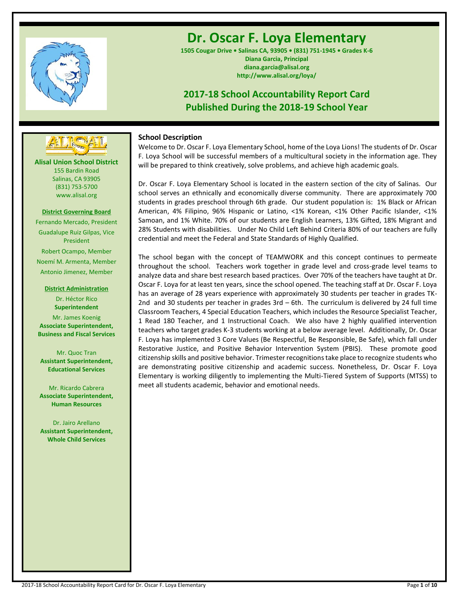

# **Dr. Oscar F. Loya Elementary**

**1505 Cougar Drive • Salinas CA, 93905 • (831) 751-1945 • Grades K-6 Diana Garcia, Principal diana.garcia@alisal.org http://www.alisal.org/loya/**

# **2017-18 School Accountability Report Card Published During the 2018-19 School Year**

# **School Description**

Welcome to Dr. Oscar F. Loya Elementary School, home of the Loya Lions! The students of Dr. Oscar F. Loya School will be successful members of a multicultural society in the information age. They will be prepared to think creatively, solve problems, and achieve high academic goals.

Dr. Oscar F. Loya Elementary School is located in the eastern section of the city of Salinas. Our school serves an ethnically and economically diverse community. There are approximately 700 students in grades preschool through 6th grade. Our student population is: 1% Black or African American, 4% Filipino, 96% Hispanic or Latino, <1% Korean, <1% Other Pacific Islander, <1% Samoan, and 1% White. 70% of our students are English Learners, 13% Gifted, 18% Migrant and 28% Students with disabilities. Under No Child Left Behind Criteria 80% of our teachers are fully credential and meet the Federal and State Standards of Highly Qualified.

The school began with the concept of TEAMWORK and this concept continues to permeate throughout the school. Teachers work together in grade level and cross-grade level teams to analyze data and share best research based practices. Over 70% of the teachers have taught at Dr. Oscar F. Loya for at least ten years, since the school opened. The teaching staff at Dr. Oscar F. Loya has an average of 28 years experience with approximately 30 students per teacher in grades TK-2nd and 30 students per teacher in grades 3rd – 6th. The curriculum is delivered by 24 full time Classroom Teachers, 4 Special Education Teachers, which includes the Resource Specialist Teacher, 1 Read 180 Teacher, and 1 Instructional Coach. We also have 2 highly qualified intervention teachers who target grades K-3 students working at a below average level. Additionally, Dr. Oscar F. Loya has implemented 3 Core Values (Be Respectful, Be Responsible, Be Safe), which fall under Restorative Justice, and Positive Behavior Intervention System (PBIS). These promote good citizenship skills and positive behavior. Trimester recognitions take place to recognize students who are demonstrating positive citizenship and academic success. Nonetheless, Dr. Oscar F. Loya Elementary is working diligently to implementing the Multi-Tiered System of Supports (MTSS) to meet all students academic, behavior and emotional needs.



# **District Governing Board**

www.alisal.org

Fernando Mercado, President Guadalupe Ruiz Gilpas, Vice President Robert Ocampo, Member Noemí M. Armenta, Member Antonio Jimenez, Member

> **District Administration** Dr. Héctor Rico **Superintendent**

Mr. James Koenig **Associate Superintendent, Business and Fiscal Services**

Mr. Quoc Tran **Assistant Superintendent, Educational Services**

Mr. Ricardo Cabrera **Associate Superintendent, Human Resources**

Dr. Jairo Arellano **Assistant Superintendent, Whole Child Services**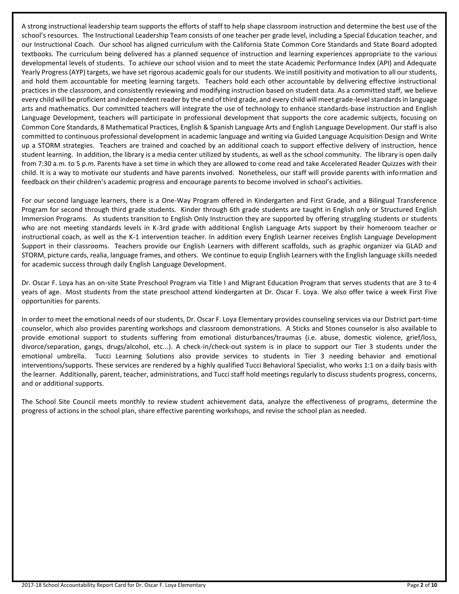A strong instructional leadership team supports the efforts of staff to help shape classroom instruction and determine the best use of the school's resources. The Instructional Leadership Team consists of one teacher per grade level, including a Special Education teacher, and our Instructional Coach. Our school has aligned curriculum with the California State Common Core Standards and State Board adopted textbooks. The curriculum being delivered has a planned sequence of instruction and learning experiences appropriate to the various developmental levels of students. To achieve our school vision and to meet the state Academic Performance Index (API) and Adequate Yearly Progress (AYP) targets, we have set rigorous academic goals for our students. We instill positivity and motivation to all our students, and hold them accountable for meeting learning targets. Teachers hold each other accountable by delivering effective instructional practices in the classroom, and consistently reviewing and modifying instruction based on student data. As a committed staff, we believe every child will be proficient and independent reader by the end of third grade, and every child will meet grade-level standards in language arts and mathematics. Our committed teachers will integrate the use of technology to enhance standards-base instruction and English Language Development, teachers will participate in professional development that supports the core academic subjects, focusing on Common Core Standards, 8 Mathematical Practices, English & Spanish Language Arts and English Language Development. Our staff is also committed to continuous professional development in academic language and writing via Guided Language Acquisition Design and Write up a STORM strategies. Teachers are trained and coached by an additional coach to support effective delivery of instruction, hence student learning. In addition, the library is a media center utilized by students, as well as the school community. The library is open daily from 7:30 a.m. to 5 p.m. Parents have a set time in which they are allowed to come read and take Accelerated Reader Quizzes with their child. It is a way to motivate our students and have parents involved. Nonetheless, our staff will provide parents with information and feedback on their children's academic progress and encourage parents to become involved in school's activities.

For our second language learners, there is a One-Way Program offered in Kindergarten and First Grade, and a Bilingual Transference Program for second through third grade students. Kinder through 6th grade students are taught in English only or Structured English Immersion Programs. As students transition to English Only Instruction they are supported by offering struggling students or students who are not meeting standards levels in K-3rd grade with additional English Language Arts support by their homeroom teacher or instructional coach, as well as the K-1 intervention teacher. In addition every English Learner receives English Language Development Support in their classrooms. Teachers provide our English Learners with different scaffolds, such as graphic organizer via GLAD and STORM, picture cards, realia, language frames, and others. We continue to equip English Learners with the English language skills needed for academic success through daily English Language Development.

Dr. Oscar F. Loya has an on-site State Preschool Program via Title I and Migrant Education Program that serves students that are 3 to 4 years of age. Most students from the state preschool attend kindergarten at Dr. Oscar F. Loya. We also offer twice a week First Five opportunities for parents.

In order to meet the emotional needs of our students, Dr. Oscar F. Loya Elementary provides counseling services via our District part-time counselor, which also provides parenting workshops and classroom demonstrations. A Sticks and Stones counselor is also available to provide emotional support to students suffering from emotional disturbances/traumas (i.e. abuse, domestic violence, grief/loss, divorce/separation, gangs, drugs/alcohol, etc...). A check-in/check-out system is in place to support our Tier 3 students under the emotional umbrella. Tucci Learning Solutions also provide services to students in Tier 3 needing behavior and emotional interventions/supports. These services are rendered by a highly qualified Tucci Behavioral Specialist, who works 1:1 on a daily basis with the learner. Additionally, parent, teacher, administrations, and Tucci staff hold meetings regularly to discuss students progress, concerns, and or additional supports.

The School Site Council meets monthly to review student achievement data, analyze the effectiveness of programs, determine the progress of actions in the school plan, share effective parenting workshops, and revise the school plan as needed.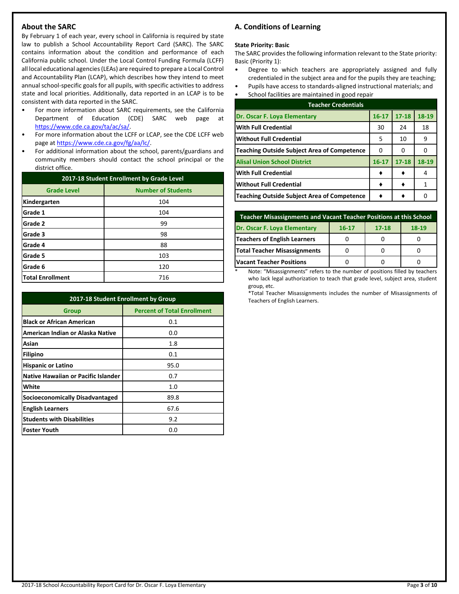# **About the SARC**

By February 1 of each year, every school in California is required by state law to publish a School Accountability Report Card (SARC). The SARC contains information about the condition and performance of each California public school. Under the Local Control Funding Formula (LCFF) all local educational agencies (LEAs) are required to prepare a Local Control and Accountability Plan (LCAP), which describes how they intend to meet annual school-specific goals for all pupils, with specific activities to address state and local priorities. Additionally, data reported in an LCAP is to be consistent with data reported in the SARC.

- For more information about SARC requirements, see the California Department of Education (CDE) SARC web page at [https://www.cde.ca.gov/ta/ac/sa/.](https://www.cde.ca.gov/ta/ac/sa/)
- For more information about the LCFF or LCAP, see the CDE LCFF web page at [https://www.cde.ca.gov/fg/aa/lc/.](https://www.cde.ca.gov/fg/aa/lc/)
- For additional information about the school, parents/guardians and community members should contact the school principal or the district office.

| 2017-18 Student Enrollment by Grade Level |                           |  |  |  |
|-------------------------------------------|---------------------------|--|--|--|
| <b>Grade Level</b>                        | <b>Number of Students</b> |  |  |  |
| Kindergarten                              | 104                       |  |  |  |
| Grade 1                                   | 104                       |  |  |  |
| Grade 2                                   | 99                        |  |  |  |
| Grade 3                                   | 98                        |  |  |  |
| Grade 4                                   | 88                        |  |  |  |
| Grade 5                                   | 103                       |  |  |  |
| Grade 6                                   | 120                       |  |  |  |
| <b>Total Enrollment</b>                   | 716                       |  |  |  |

| 2017-18 Student Enrollment by Group        |                                    |  |  |  |
|--------------------------------------------|------------------------------------|--|--|--|
| <b>Group</b>                               | <b>Percent of Total Enrollment</b> |  |  |  |
| <b>Black or African American</b>           | 0.1                                |  |  |  |
| American Indian or Alaska Native           | 0.0                                |  |  |  |
| Asian                                      | 1.8                                |  |  |  |
| Filipino                                   | 0.1                                |  |  |  |
| <b>Hispanic or Latino</b>                  | 95.0                               |  |  |  |
| <b>Native Hawaiian or Pacific Islander</b> | 0.7                                |  |  |  |
| White                                      | 1.0                                |  |  |  |
| <b>Socioeconomically Disadvantaged</b>     | 89.8                               |  |  |  |
| <b>English Learners</b>                    | 67.6                               |  |  |  |
| <b>Students with Disabilities</b>          | 9.2                                |  |  |  |
| <b>Foster Youth</b>                        | 0.0                                |  |  |  |

# **A. Conditions of Learning**

#### **State Priority: Basic**

The SARC provides the following information relevant to the State priority: Basic (Priority 1):

- Degree to which teachers are appropriately assigned and fully credentialed in the subject area and for the pupils they are teaching;
- Pupils have access to standards-aligned instructional materials; and • School facilities are maintained in good repair

| <b>Teacher Credentials</b>                         |           |           |       |  |  |
|----------------------------------------------------|-----------|-----------|-------|--|--|
| Dr. Oscar F. Loya Elementary                       | $16 - 17$ | $17 - 18$ | 18-19 |  |  |
| <b>With Full Credential</b>                        | 30        | 24        | 18    |  |  |
| <b>Without Full Credential</b>                     | 5         | 10        | 9     |  |  |
| <b>Teaching Outside Subject Area of Competence</b> | 0         | 0         | O     |  |  |
| <b>Alisal Union School District</b>                | $16 - 17$ | $17 - 18$ | 18-19 |  |  |
| <b>With Full Credential</b>                        |           |           | 4     |  |  |
| <b>Without Full Credential</b>                     |           |           | 1     |  |  |
| Teaching Outside Subject Area of Competence        |           |           |       |  |  |

| Teacher Misassignments and Vacant Teacher Positions at this School |  |  |  |  |  |  |  |
|--------------------------------------------------------------------|--|--|--|--|--|--|--|
| Dr. Oscar F. Loya Elementary<br>$17 - 18$<br>$18-19$<br>$16 - 17$  |  |  |  |  |  |  |  |
| <b>Teachers of English Learners</b>                                |  |  |  |  |  |  |  |
| Total Teacher Misassignments                                       |  |  |  |  |  |  |  |
| <b>Vacant Teacher Positions</b>                                    |  |  |  |  |  |  |  |

Note: "Misassignments" refers to the number of positions filled by teachers who lack legal authorization to teach that grade level, subject area, student group, etc.

\*Total Teacher Misassignments includes the number of Misassignments of Teachers of English Learners.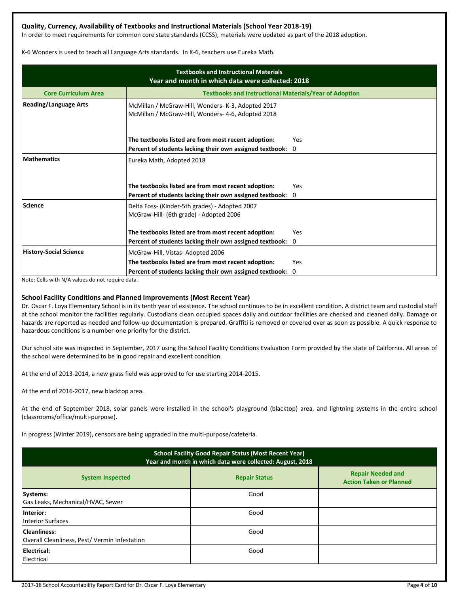# **Quality, Currency, Availability of Textbooks and Instructional Materials (School Year 2018-19)**

In order to meet requirements for common core state standards (CCSS), materials were updated as part of the 2018 adoption.

K-6 Wonders is used to teach all Language Arts standards. In K-6, teachers use Eureka Math.

| <b>Textbooks and Instructional Materials</b><br>Year and month in which data were collected: 2018 |                                                                                                          |          |  |  |  |
|---------------------------------------------------------------------------------------------------|----------------------------------------------------------------------------------------------------------|----------|--|--|--|
| <b>Core Curriculum Area</b>                                                                       | <b>Textbooks and Instructional Materials/Year of Adoption</b>                                            |          |  |  |  |
| <b>Reading/Language Arts</b>                                                                      | McMillan / McGraw-Hill, Wonders- K-3, Adopted 2017<br>McMillan / McGraw-Hill, Wonders- 4-6, Adopted 2018 |          |  |  |  |
|                                                                                                   | The textbooks listed are from most recent adoption:                                                      | Yes      |  |  |  |
|                                                                                                   | Percent of students lacking their own assigned textbook:                                                 | 0        |  |  |  |
| <b>Mathematics</b>                                                                                | Eureka Math, Adopted 2018                                                                                |          |  |  |  |
|                                                                                                   | The textbooks listed are from most recent adoption:                                                      | Yes      |  |  |  |
|                                                                                                   | Percent of students lacking their own assigned textbook:                                                 | $\Omega$ |  |  |  |
| <b>Science</b>                                                                                    | Delta Foss- (Kinder-5th grades) - Adopted 2007<br>McGraw-Hill- (6th grade) - Adopted 2006                |          |  |  |  |
|                                                                                                   | The textbooks listed are from most recent adoption:                                                      | Yes      |  |  |  |
|                                                                                                   | Percent of students lacking their own assigned textbook: 0                                               |          |  |  |  |
| <b>History-Social Science</b>                                                                     | McGraw-Hill, Vistas-Adopted 2006                                                                         |          |  |  |  |
|                                                                                                   | The textbooks listed are from most recent adoption:                                                      | Yes      |  |  |  |
|                                                                                                   | Percent of students lacking their own assigned textbook:                                                 | 0        |  |  |  |

Note: Cells with N/A values do not require data.

### **School Facility Conditions and Planned Improvements (Most Recent Year)**

Dr. Oscar F. Loya Elementary School is in its tenth year of existence. The school continues to be in excellent condition. A district team and custodial staff at the school monitor the facilities regularly. Custodians clean occupied spaces daily and outdoor facilities are checked and cleaned daily. Damage or hazards are reported as needed and follow-up documentation is prepared. Graffiti is removed or covered over as soon as possible. A quick response to hazardous conditions is a number-one priority for the district.

Our school site was inspected in September, 2017 using the School Facility Conditions Evaluation Form provided by the state of California. All areas of the school were determined to be in good repair and excellent condition.

At the end of 2013-2014, a new grass field was approved to for use starting 2014-2015.

At the end of 2016-2017, new blacktop area.

At the end of September 2018, solar panels were installed in the school's playground (blacktop) area, and lightning systems in the entire school (classrooms/office/multi-purpose).

In progress (Winter 2019), censors are being upgraded in the multi-purpose/cafeteria.

| <b>School Facility Good Repair Status (Most Recent Year)</b><br>Year and month in which data were collected: August, 2018 |                                                            |  |  |  |  |
|---------------------------------------------------------------------------------------------------------------------------|------------------------------------------------------------|--|--|--|--|
| <b>System Inspected</b>                                                                                                   | <b>Repair Needed and</b><br><b>Action Taken or Planned</b> |  |  |  |  |
| Systems:<br>Gas Leaks, Mechanical/HVAC, Sewer                                                                             | Good                                                       |  |  |  |  |
| Interior:<br><b>Interior Surfaces</b>                                                                                     | Good                                                       |  |  |  |  |
| Cleanliness:<br>Overall Cleanliness, Pest/Vermin Infestation                                                              | Good                                                       |  |  |  |  |
| Electrical:<br>Electrical                                                                                                 | Good                                                       |  |  |  |  |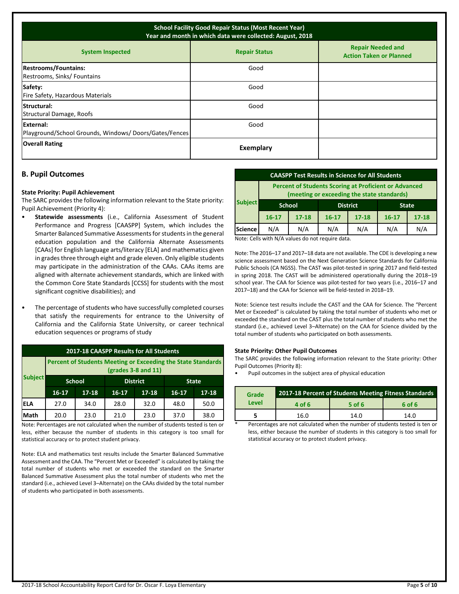| <b>School Facility Good Repair Status (Most Recent Year)</b><br>Year and month in which data were collected: August, 2018 |           |  |  |  |  |  |  |
|---------------------------------------------------------------------------------------------------------------------------|-----------|--|--|--|--|--|--|
| <b>Repair Needed and</b><br><b>System Inspected</b><br><b>Repair Status</b><br><b>Action Taken or Planned</b>             |           |  |  |  |  |  |  |
| <b>Restrooms/Fountains:</b><br>Restrooms, Sinks/ Fountains                                                                | Good      |  |  |  |  |  |  |
| Safety:<br>Fire Safety, Hazardous Materials                                                                               | Good      |  |  |  |  |  |  |
| <b>Structural:</b><br>Structural Damage, Roofs                                                                            | Good      |  |  |  |  |  |  |
| External:<br>Playground/School Grounds, Windows/Doors/Gates/Fences                                                        | Good      |  |  |  |  |  |  |
| <b>Overall Rating</b>                                                                                                     | Exemplary |  |  |  |  |  |  |

# **B. Pupil Outcomes**

#### **State Priority: Pupil Achievement**

The SARC provides the following information relevant to the State priority: Pupil Achievement (Priority 4):

- **Statewide assessments** (i.e., California Assessment of Student Performance and Progress [CAASPP] System, which includes the Smarter Balanced Summative Assessments for students in the general education population and the California Alternate Assessments [CAAs] for English language arts/literacy [ELA] and mathematics given in grades three through eight and grade eleven. Only eligible students may participate in the administration of the CAAs. CAAs items are aligned with alternate achievement standards, which are linked with the Common Core State Standards [CCSS] for students with the most significant cognitive disabilities); and
- The percentage of students who have successfully completed courses that satisfy the requirements for entrance to the University of California and the California State University, or career technical education sequences or programs of study

| 2017-18 CAASPP Results for All Students                                                      |               |           |           |                 |           |              |  |
|----------------------------------------------------------------------------------------------|---------------|-----------|-----------|-----------------|-----------|--------------|--|
| <b>Percent of Students Meeting or Exceeding the State Standards</b><br>$(grades 3-8 and 11)$ |               |           |           |                 |           |              |  |
| <b>Subject</b>                                                                               | <b>School</b> |           |           | <b>District</b> |           | <b>State</b> |  |
|                                                                                              | $16 - 17$     | $17 - 18$ | $16 - 17$ | $17 - 18$       | $16 - 17$ | $17 - 18$    |  |
| IELA                                                                                         | 27.0          | 34.0      | 28.0      | 32.0            | 48.0      | 50.0         |  |
| Math                                                                                         | 20.0          | 23.0      | 21.0      | 23.0            | 37.0      | 38.0         |  |

Note: Percentages are not calculated when the number of students tested is ten or less, either because the number of students in this category is too small for statistical accuracy or to protect student privacy.

Note: ELA and mathematics test results include the Smarter Balanced Summative Assessment and the CAA. The "Percent Met or Exceeded" is calculated by taking the total number of students who met or exceeded the standard on the Smarter Balanced Summative Assessment plus the total number of students who met the standard (i.e., achieved Level 3–Alternate) on the CAAs divided by the total number of students who participated in both assessments.

| <b>CAASPP Test Results in Science for All Students</b> |                                                                                                            |           |           |                 |           |              |  |
|--------------------------------------------------------|------------------------------------------------------------------------------------------------------------|-----------|-----------|-----------------|-----------|--------------|--|
|                                                        | <b>Percent of Students Scoring at Proficient or Advanced</b><br>(meeting or exceeding the state standards) |           |           |                 |           |              |  |
| <b>Subject</b>                                         | <b>School</b>                                                                                              |           |           | <b>District</b> |           | <b>State</b> |  |
|                                                        | $16 - 17$                                                                                                  | $17 - 18$ | $16 - 17$ | $17 - 18$       | $16 - 17$ | $17 - 18$    |  |
| <b>Science</b>                                         | N/A                                                                                                        | N/A       | N/A       | N/A             | N/A       | N/A          |  |
| .<br>.<br>.<br>.                                       |                                                                                                            |           |           |                 |           |              |  |

Note: Cells with N/A values do not require data.

Note: The 2016–17 and 2017–18 data are not available. The CDE is developing a new science assessment based on the Next Generation Science Standards for California Public Schools (CA NGSS). The CAST was pilot-tested in spring 2017 and field-tested in spring 2018. The CAST will be administered operationally during the 2018–19 school year. The CAA for Science was pilot-tested for two years (i.e., 2016–17 and 2017–18) and the CAA for Science will be field-tested in 2018–19.

Note: Science test results include the CAST and the CAA for Science. The "Percent Met or Exceeded" is calculated by taking the total number of students who met or exceeded the standard on the CAST plus the total number of students who met the standard (i.e., achieved Level 3–Alternate) on the CAA for Science divided by the total number of students who participated on both assessments.

#### **State Priority: Other Pupil Outcomes**

The SARC provides the following information relevant to the State priority: Other Pupil Outcomes (Priority 8):

• Pupil outcomes in the subject area of physical education

| Grade | 2017-18 Percent of Students Meeting Fitness Standards |        |        |  |  |
|-------|-------------------------------------------------------|--------|--------|--|--|
| Level | 4 of 6                                                | 5 of 6 | 6 of 6 |  |  |
|       | 16.0                                                  | 14.0   | 14.0   |  |  |

Percentages are not calculated when the number of students tested is ten or less, either because the number of students in this category is too small for statistical accuracy or to protect student privacy.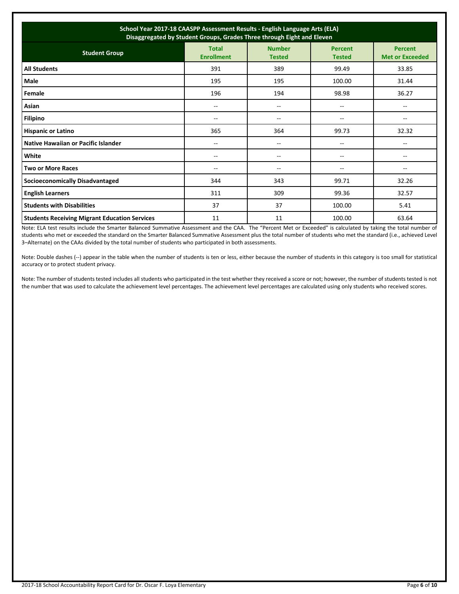| School Year 2017-18 CAASPP Assessment Results - English Language Arts (ELA)<br>Disaggregated by Student Groups, Grades Three through Eight and Eleven |                                   |                                |                                 |                                   |  |
|-------------------------------------------------------------------------------------------------------------------------------------------------------|-----------------------------------|--------------------------------|---------------------------------|-----------------------------------|--|
| <b>Student Group</b>                                                                                                                                  | <b>Total</b><br><b>Enrollment</b> | <b>Number</b><br><b>Tested</b> | <b>Percent</b><br><b>Tested</b> | Percent<br><b>Met or Exceeded</b> |  |
| <b>All Students</b>                                                                                                                                   | 391                               | 389                            | 99.49                           | 33.85                             |  |
| Male                                                                                                                                                  | 195                               | 195                            | 100.00                          | 31.44                             |  |
| Female                                                                                                                                                | 196                               | 194                            | 98.98                           | 36.27                             |  |
| Asian                                                                                                                                                 | $- -$                             | $-$                            | $- -$                           | $-$                               |  |
| <b>Filipino</b>                                                                                                                                       | $- -$                             | --                             | --                              | --                                |  |
| <b>Hispanic or Latino</b>                                                                                                                             | 365                               | 364                            | 99.73                           | 32.32                             |  |
| Native Hawaiian or Pacific Islander                                                                                                                   | ۰.                                | --                             | $\overline{\phantom{a}}$        | --                                |  |
| White                                                                                                                                                 | --                                | --                             | --                              | --                                |  |
| <b>Two or More Races</b>                                                                                                                              | $- -$                             | --                             | --                              | $-$                               |  |
| <b>Socioeconomically Disadvantaged</b>                                                                                                                | 344                               | 343                            | 99.71                           | 32.26                             |  |
| <b>English Learners</b>                                                                                                                               | 311                               | 309                            | 99.36                           | 32.57                             |  |
| <b>Students with Disabilities</b>                                                                                                                     | 37                                | 37                             | 100.00                          | 5.41                              |  |
| <b>Students Receiving Migrant Education Services</b>                                                                                                  | 11                                | 11                             | 100.00                          | 63.64                             |  |

Note: ELA test results include the Smarter Balanced Summative Assessment and the CAA. The "Percent Met or Exceeded" is calculated by taking the total number of students who met or exceeded the standard on the Smarter Balanced Summative Assessment plus the total number of students who met the standard (i.e., achieved Level 3–Alternate) on the CAAs divided by the total number of students who participated in both assessments.

Note: Double dashes (--) appear in the table when the number of students is ten or less, either because the number of students in this category is too small for statistical accuracy or to protect student privacy.

Note: The number of students tested includes all students who participated in the test whether they received a score or not; however, the number of students tested is not the number that was used to calculate the achievement level percentages. The achievement level percentages are calculated using only students who received scores.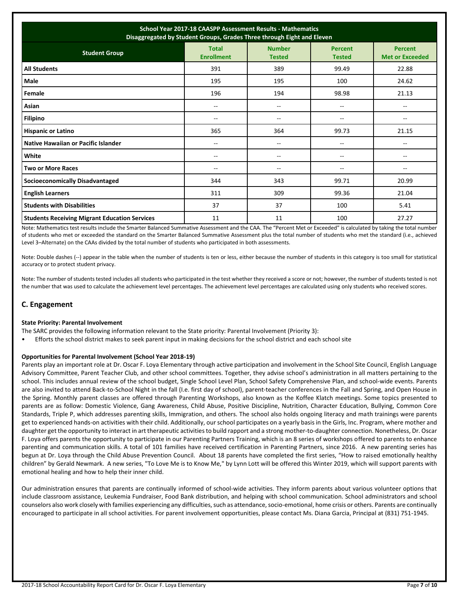| School Year 2017-18 CAASPP Assessment Results - Mathematics<br>Disaggregated by Student Groups, Grades Three through Eight and Eleven |                                   |                                |                                 |                                          |  |
|---------------------------------------------------------------------------------------------------------------------------------------|-----------------------------------|--------------------------------|---------------------------------|------------------------------------------|--|
| <b>Student Group</b>                                                                                                                  | <b>Total</b><br><b>Enrollment</b> | <b>Number</b><br><b>Tested</b> | <b>Percent</b><br><b>Tested</b> | <b>Percent</b><br><b>Met or Exceeded</b> |  |
| <b>All Students</b>                                                                                                                   | 391                               | 389                            | 99.49                           | 22.88                                    |  |
| Male                                                                                                                                  | 195                               | 195                            | 100                             | 24.62                                    |  |
| Female                                                                                                                                | 196                               | 194                            | 98.98                           | 21.13                                    |  |
| Asian                                                                                                                                 | --                                | --                             | $\overline{\phantom{a}}$        | --                                       |  |
| <b>Filipino</b>                                                                                                                       | --                                | --                             | $- -$                           | --                                       |  |
| <b>Hispanic or Latino</b>                                                                                                             | 365                               | 364                            | 99.73                           | 21.15                                    |  |
| Native Hawaiian or Pacific Islander                                                                                                   | --                                | --                             | $\overline{\phantom{a}}$        | --                                       |  |
| White                                                                                                                                 | --                                | --                             | --                              | --                                       |  |
| <b>Two or More Races</b>                                                                                                              | $-$                               | $-$                            | $-$                             | $-$                                      |  |
| <b>Socioeconomically Disadvantaged</b>                                                                                                | 344                               | 343                            | 99.71                           | 20.99                                    |  |
| <b>English Learners</b>                                                                                                               | 311                               | 309                            | 99.36                           | 21.04                                    |  |
| <b>Students with Disabilities</b>                                                                                                     | 37                                | 37                             | 100                             | 5.41                                     |  |
| <b>Students Receiving Migrant Education Services</b>                                                                                  | 11                                | 11                             | 100                             | 27.27                                    |  |

Note: Mathematics test results include the Smarter Balanced Summative Assessment and the CAA. The "Percent Met or Exceeded" is calculated by taking the total number of students who met or exceeded the standard on the Smarter Balanced Summative Assessment plus the total number of students who met the standard (i.e., achieved Level 3–Alternate) on the CAAs divided by the total number of students who participated in both assessments.

Note: Double dashes (--) appear in the table when the number of students is ten or less, either because the number of students in this category is too small for statistical accuracy or to protect student privacy.

Note: The number of students tested includes all students who participated in the test whether they received a score or not; however, the number of students tested is not the number that was used to calculate the achievement level percentages. The achievement level percentages are calculated using only students who received scores.

# **C. Engagement**

#### **State Priority: Parental Involvement**

The SARC provides the following information relevant to the State priority: Parental Involvement (Priority 3):

• Efforts the school district makes to seek parent input in making decisions for the school district and each school site

### **Opportunities for Parental Involvement (School Year 2018-19)**

Parents play an important role at Dr. Oscar F. Loya Elementary through active participation and involvement in the School Site Council, English Language Advisory Committee, Parent Teacher Club, and other school committees. Together, they advise school's administration in all matters pertaining to the school. This includes annual review of the school budget, Single School Level Plan, School Safety Comprehensive Plan, and school-wide events. Parents are also invited to attend Back-to-School Night in the fall (I.e. first day of school), parent-teacher conferences in the Fall and Spring, and Open House in the Spring. Monthly parent classes are offered through Parenting Workshops, also known as the Koffee Klatch meetings. Some topics presented to parents are as follow: Domestic Violence, Gang Awareness, Child Abuse, Positive Discipline, Nutrition, Character Education, Bullying, Common Core Standards, Triple P, which addresses parenting skills, Immigration, and others. The school also holds ongoing literacy and math trainings were parents get to experienced hands-on activities with their child. Additionally, our school participates on a yearly basis in the Girls, Inc. Program, where mother and daughter get the opportunity to interact in art therapeutic activities to build rapport and a strong mother-to-daughter connection. Nonetheless, Dr. Oscar F. Loya offers parents the opportunity to participate in our Parenting Partners Training, which is an 8 series of workshops offered to parents to enhance parenting and communication skills. A total of 101 families have received certification in Parenting Partners, since 2016. A new parenting series has begun at Dr. Loya through the Child Abuse Prevention Council. About 18 parents have completed the first series, "How to raised emotionally healthy children" by Gerald Newmark. A new series, "To Love Me is to Know Me," by Lynn Lott will be offered this Winter 2019, which will support parents with emotional healing and how to help their inner child.

Our administration ensures that parents are continually informed of school-wide activities. They inform parents about various volunteer options that include classroom assistance, Leukemia Fundraiser, Food Bank distribution, and helping with school communication. School administrators and school counselors also work closely with families experiencing any difficulties, such as attendance, socio-emotional, home crisis or others. Parents are continually encouraged to participate in all school activities. For parent involvement opportunities, please contact Ms. Diana Garcia, Principal at (831) 751-1945.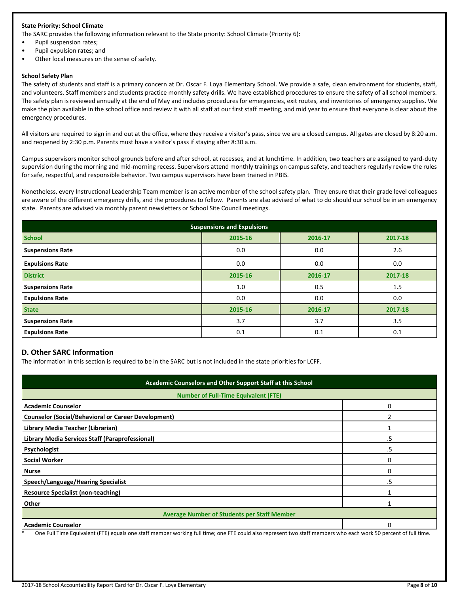### **State Priority: School Climate**

The SARC provides the following information relevant to the State priority: School Climate (Priority 6):

- Pupil suspension rates;
- Pupil expulsion rates; and
- Other local measures on the sense of safety.

#### **School Safety Plan**

The safety of students and staff is a primary concern at Dr. Oscar F. Loya Elementary School. We provide a safe, clean environment for students, staff, and volunteers. Staff members and students practice monthly safety drills. We have established procedures to ensure the safety of all school members. The safety plan is reviewed annually at the end of May and includes procedures for emergencies, exit routes, and inventories of emergency supplies. We make the plan available in the school office and review it with all staff at our first staff meeting, and mid year to ensure that everyone is clear about the emergency procedures.

All visitors are required to sign in and out at the office, where they receive a visitor's pass, since we are a closed campus. All gates are closed by 8:20 a.m. and reopened by 2:30 p.m. Parents must have a visitor's pass if staying after 8:30 a.m.

Campus supervisors monitor school grounds before and after school, at recesses, and at lunchtime. In addition, two teachers are assigned to yard-duty supervision during the morning and mid-morning recess. Supervisors attend monthly trainings on campus safety, and teachers regularly review the rules for safe, respectful, and responsible behavior. Two campus supervisors have been trained in PBIS.

Nonetheless, every Instructional Leadership Team member is an active member of the school safety plan. They ensure that their grade level colleagues are aware of the different emergency drills, and the procedures to follow. Parents are also advised of what to do should our school be in an emergency state. Parents are advised via monthly parent newsletters or School Site Council meetings.

| <b>Suspensions and Expulsions</b> |         |         |         |  |  |  |
|-----------------------------------|---------|---------|---------|--|--|--|
| <b>School</b>                     | 2015-16 | 2016-17 | 2017-18 |  |  |  |
| <b>Suspensions Rate</b>           | 0.0     | 0.0     | 2.6     |  |  |  |
| <b>Expulsions Rate</b>            | 0.0     | 0.0     | 0.0     |  |  |  |
| <b>District</b>                   | 2015-16 | 2016-17 | 2017-18 |  |  |  |
| <b>Suspensions Rate</b>           | 1.0     | 0.5     | 1.5     |  |  |  |
| <b>Expulsions Rate</b>            | 0.0     | 0.0     | 0.0     |  |  |  |
| <b>State</b>                      | 2015-16 | 2016-17 | 2017-18 |  |  |  |
| <b>Suspensions Rate</b>           | 3.7     | 3.7     | 3.5     |  |  |  |
| <b>Expulsions Rate</b>            | 0.1     | 0.1     | 0.1     |  |  |  |

# **D. Other SARC Information**

The information in this section is required to be in the SARC but is not included in the state priorities for LCFF.

| Academic Counselors and Other Support Staff at this School                                                                                                                                 |    |  |  |  |
|--------------------------------------------------------------------------------------------------------------------------------------------------------------------------------------------|----|--|--|--|
| <b>Number of Full-Time Equivalent (FTE)</b>                                                                                                                                                |    |  |  |  |
| <b>Academic Counselor</b>                                                                                                                                                                  |    |  |  |  |
| <b>Counselor (Social/Behavioral or Career Development)</b>                                                                                                                                 |    |  |  |  |
| Library Media Teacher (Librarian)                                                                                                                                                          |    |  |  |  |
| Library Media Services Staff (Paraprofessional)                                                                                                                                            | .5 |  |  |  |
| Psychologist                                                                                                                                                                               | .5 |  |  |  |
| <b>Social Worker</b>                                                                                                                                                                       | O  |  |  |  |
| <b>Nurse</b>                                                                                                                                                                               |    |  |  |  |
| Speech/Language/Hearing Specialist                                                                                                                                                         | .5 |  |  |  |
| <b>Resource Specialist (non-teaching)</b>                                                                                                                                                  |    |  |  |  |
| Other                                                                                                                                                                                      |    |  |  |  |
| <b>Average Number of Students per Staff Member</b>                                                                                                                                         |    |  |  |  |
| <b>Academic Counselor</b><br>One Full Time Equipplent (FTE) equals and staff momber weaking full time, and FTE squid also conceent two staff mombers who cash work FO norseal of full time |    |  |  |  |

Equivalent (FTE) equals one staff member working full time; one FTE could also represent two staff members who each work 50 percent of full time.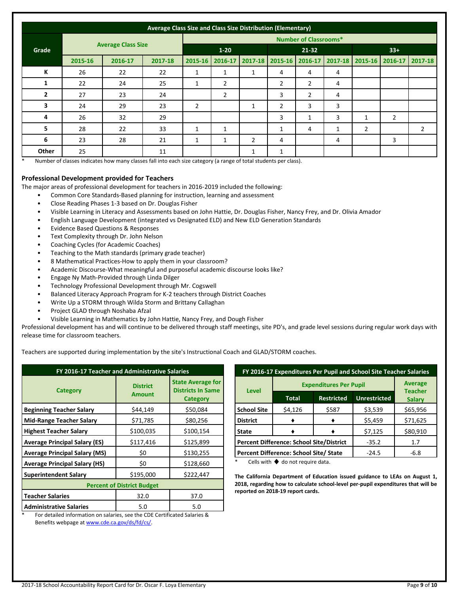|                | Average Class Size and Class Size Distribution (Elementary) |         |                              |                |                |                |                 |                |              |                |                                 |                |
|----------------|-------------------------------------------------------------|---------|------------------------------|----------------|----------------|----------------|-----------------|----------------|--------------|----------------|---------------------------------|----------------|
|                | <b>Average Class Size</b>                                   |         | <b>Number of Classrooms*</b> |                |                |                |                 |                |              |                |                                 |                |
| Grade          |                                                             |         | $1 - 20$                     |                | $21 - 32$      |                |                 | $33+$          |              |                |                                 |                |
|                | 2015-16                                                     | 2016-17 | 2017-18                      | 2015-16        | 2016-17        | $2017 - 18$    | 2015-16 2016-17 |                |              |                | 2017-18 2015-16 2016-17 2017-18 |                |
| К              | 26                                                          | 22      | 22                           | 1              | 1              | 1              | 4               | 4              | 4            |                |                                 |                |
| 1              | 22                                                          | 24      | 25                           | 1              | $\overline{2}$ |                | $\overline{2}$  | $\overline{2}$ | 4            |                |                                 |                |
| $\overline{2}$ | 27                                                          | 23      | 24                           |                | $\overline{2}$ |                | 3               | $\overline{2}$ | 4            |                |                                 |                |
| 3              | 24                                                          | 29      | 23                           | $\overline{2}$ |                |                | $\overline{2}$  | 3              | 3            |                |                                 |                |
| 4              | 26                                                          | 32      | 29                           |                |                |                | 3               | 1              | 3            | 1              | $\overline{2}$                  |                |
| 5              | 28                                                          | 22      | 33                           | 1              | $\mathbf{1}$   |                | $\mathbf{1}$    | 4              | $\mathbf{1}$ | $\overline{2}$ |                                 | $\overline{2}$ |
| 6              | 23                                                          | 28      | 21                           | 1              | $\mathbf{1}$   | $\overline{2}$ | 4               |                | 4            |                | 3                               |                |
| Other          | 25                                                          |         | 11                           |                |                | 1              | 1               |                |              |                |                                 |                |

Number of classes indicates how many classes fall into each size category (a range of total students per class).

#### **Professional Development provided for Teachers**

The major areas of professional development for teachers in 2016-2019 included the following:

- Common Core Standards-Based planning for instruction, learning and assessment
- Close Reading Phases 1-3 based on Dr. Douglas Fisher
- Visible Learning in Literacy and Assessments based on John Hattie, Dr. Douglas Fisher, Nancy Frey, and Dr. Olivia Amador
- English Language Development (integrated vs Designated ELD) and New ELD Generation Standards
- Evidence Based Questions & Responses
- Text Complexity through Dr. John Nelson
- Coaching Cycles (for Academic Coaches)
- Teaching to the Math standards (primary grade teacher)
- 8 Mathematical Practices-How to apply them in your classroom?
- Academic Discourse-What meaningful and purposeful academic discourse looks like?
- Engage Ny Math-Provided through Linda Dilger
- Technology Professional Development through Mr. Cogswell
- Balanced Literacy Approach Program for K-2 teachers through District Coaches
- Write Up a STORM through Wilda Storm and Brittany Callaghan
- Project GLAD through Noshaba Afzal
- Visible Learning in Mathematics by John Hattie, Nancy Frey, and Dough Fisher

Professional development has and will continue to be delivered through staff meetings, site PD's, and grade level sessions during regular work days with release time for classroom teachers.

Teachers are supported during implementation by the site's Instructional Coach and GLAD/STORM coaches.

| FY 2016-17 Teacher and Administrative Salaries |                                  |                                                                         |  |  |  |
|------------------------------------------------|----------------------------------|-------------------------------------------------------------------------|--|--|--|
| <b>Category</b>                                | <b>District</b><br><b>Amount</b> | <b>State Average for</b><br><b>Districts In Same</b><br><b>Category</b> |  |  |  |
| <b>Beginning Teacher Salary</b>                | \$44,149                         | \$50,084                                                                |  |  |  |
| <b>Mid-Range Teacher Salary</b>                | \$71,785                         | \$80,256                                                                |  |  |  |
| <b>Highest Teacher Salary</b>                  | \$100,035                        | \$100,154                                                               |  |  |  |
| <b>Average Principal Salary (ES)</b>           | \$117,416                        | \$125,899                                                               |  |  |  |
| <b>Average Principal Salary (MS)</b>           | \$0                              | \$130,255                                                               |  |  |  |
| <b>Average Principal Salary (HS)</b>           | \$0                              | \$128,660                                                               |  |  |  |
| <b>Superintendent Salary</b>                   | \$195,000                        | \$222,447                                                               |  |  |  |
| <b>Percent of District Budget</b>              |                                  |                                                                         |  |  |  |
| <b>Teacher Salaries</b>                        | 32.0                             | 37.0                                                                    |  |  |  |
| <b>Administrative Salaries</b>                 | 5.0                              | 5.0                                                                     |  |  |  |

| FY 2016-17 Expenditures Per Pupil and School Site Teacher Salaries |                               |                   |                     |                                 |  |
|--------------------------------------------------------------------|-------------------------------|-------------------|---------------------|---------------------------------|--|
|                                                                    | <b>Expenditures Per Pupil</b> | <b>Average</b>    |                     |                                 |  |
| Level                                                              | <b>Total</b>                  | <b>Restricted</b> | <b>Unrestricted</b> | <b>Teacher</b><br><b>Salary</b> |  |
| <b>School Site</b>                                                 | \$4,126                       | \$587             | \$3,539             | \$65,956                        |  |
| <b>District</b>                                                    |                               |                   | \$5,459             | \$71,625                        |  |
| State                                                              |                               |                   | \$7,125             | \$80,910                        |  |
| <b>Percent Difference: School Site/District</b>                    |                               |                   | $-35.2$             | 1.7                             |  |
| Percent Difference: School Site/ State                             |                               |                   | $-24.5$             | $-6.8$                          |  |

Cells with  $\blacklozenge$  do not require data.

**The California Department of Education issued guidance to LEAs on August 1, 2018, regarding how to calculate school-level per-pupil expenditures that will be reported on 2018-19 report cards.**

For detailed information on salaries, see the CDE Certificated Salaries & Benefits webpage a[t www.cde.ca.gov/ds/fd/cs/.](http://www.cde.ca.gov/ds/fd/cs/)